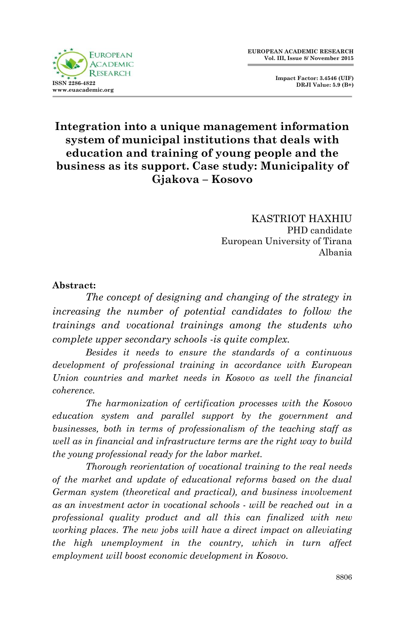

**Impact Factor: 3.4546 (UIF) DRJI Value: 5.9 (B+)**

## **Integration into a unique management information system of municipal institutions that deals with education and training of young people and the business as its support. Case study: Municipality of Gjakova – Kosovo**

KASTRIOT HAXHIU PHD candidate European University of Tirana Albania

#### **Abstract:**

*The concept of designing and changing of the strategy in increasing the number of potential candidates to follow the trainings and vocational trainings among the students who complete upper secondary schools -is quite complex.*

*Besides it needs to ensure the standards of a continuous development of professional training in accordance with European Union countries and market needs in Kosovo as well the financial coherence.*

*The harmonization of certification processes with the Kosovo education system and parallel support by the government and businesses, both in terms of professionalism of the teaching staff as well as in financial and infrastructure terms are the right way to build the young professional ready for the labor market.*

*Thorough reorientation of vocational training to the real needs of the market and update of educational reforms based on the dual German system (theoretical and practical), and business involvement as an investment actor in vocational schools - will be reached out in a professional quality product and all this can finalized with new working places. The new jobs will have a direct impact on alleviating the high unemployment in the country, which in turn affect employment will boost economic development in Kosovo.*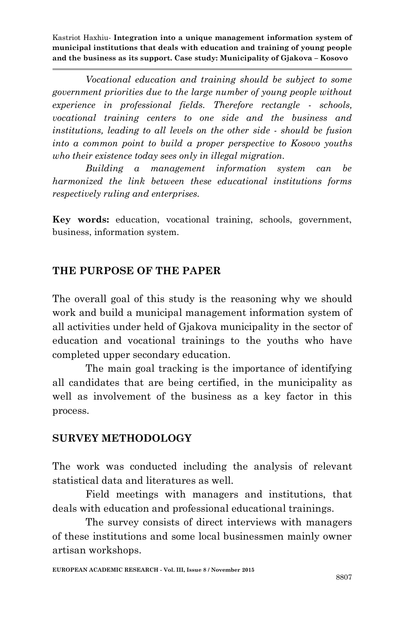*Vocational education and training should be subject to some government priorities due to the large number of young people without experience in professional fields. Therefore rectangle - schools, vocational training centers to one side and the business and institutions, leading to all levels on the other side - should be fusion into a common point to build a proper perspective to Kosovo youths who their existence today sees only in illegal migration.* 

*Building a management information system can be harmonized the link between these educational institutions forms respectively ruling and enterprises.*

**Key words:** education, vocational training, schools, government, business, information system.

### **THE PURPOSE OF THE PAPER**

The overall goal of this study is the reasoning why we should work and build a municipal management information system of all activities under held of Gjakova municipality in the sector of education and vocational trainings to the youths who have completed upper secondary education.

The main goal tracking is the importance of identifying all candidates that are being certified, in the municipality as well as involvement of the business as a key factor in this process.

#### **SURVEY METHODOLOGY**

The work was conducted including the analysis of relevant statistical data and literatures as well.

Field meetings with managers and institutions, that deals with education and professional educational trainings.

The survey consists of direct interviews with managers of these institutions and some local businessmen mainly owner artisan workshops.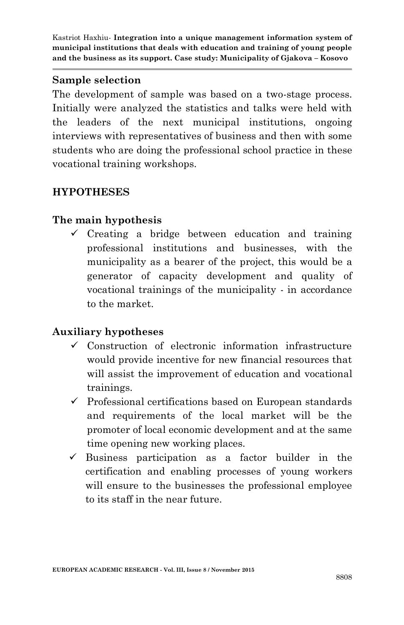#### **Sample selection**

The development of sample was based on a two-stage process. Initially were analyzed the statistics and talks were held with the leaders of the next municipal institutions, ongoing interviews with representatives of business and then with some students who are doing the professional school practice in these vocational training workshops.

### **HYPOTHESES**

### **The main hypothesis**

 $\checkmark$  Creating a bridge between education and training professional institutions and businesses, with the municipality as a bearer of the project, this would be a generator of capacity development and quality of vocational trainings of the municipality - in accordance to the market.

### **Auxiliary hypotheses**

- $\checkmark$  Construction of electronic information infrastructure would provide incentive for new financial resources that will assist the improvement of education and vocational trainings.
- $\checkmark$  Professional certifications based on European standards and requirements of the local market will be the promoter of local economic development and at the same time opening new working places.
- $\checkmark$  Business participation as a factor builder in the certification and enabling processes of young workers will ensure to the businesses the professional employee to its staff in the near future.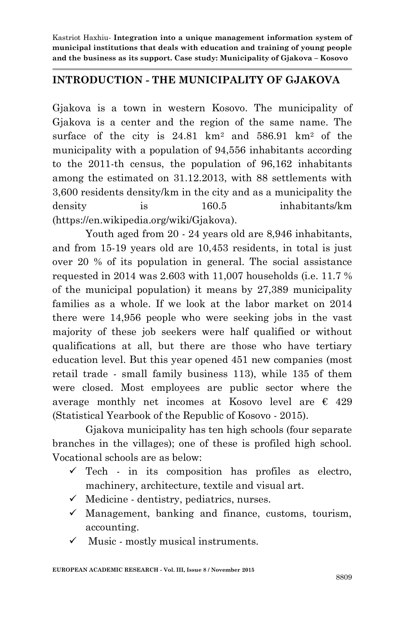#### **INTRODUCTION - THE MUNICIPALITY OF GJAKOVA**

Gjakova is a town in western Kosovo. The municipality of Gjakova is a center and the region of the same name. The surface of the city is  $24.81 \text{ km}^2$  and  $586.91 \text{ km}^2$  of the municipality with a population of 94,556 inhabitants according to the 2011-th census, the population of 96,162 inhabitants among the estimated on 31.12.2013, with 88 settlements with 3,600 residents density/km in the city and as a municipality the density is 160.5 inhabitants/km (https://en.wikipedia.org/wiki/Gjakova).

Youth aged from 20 - 24 years old are 8,946 inhabitants, and from 15-19 years old are 10,453 residents, in total is just over 20 % of its population in general. The social assistance requested in 2014 was 2.603 with 11,007 households (i.e. 11.7 % of the municipal population) it means by 27,389 municipality families as a whole. If we look at the labor market on 2014 there were 14,956 people who were seeking jobs in the vast majority of these job seekers were half qualified or without qualifications at all, but there are those who have tertiary education level. But this year opened 451 new companies (most retail trade - small family business 113), while 135 of them were closed. Most employees are public sector where the average monthly net incomes at Kosovo level are  $\epsilon$  429 (Statistical Yearbook of the Republic of Kosovo - 2015).

Gjakova municipality has ten high schools (four separate branches in the villages); one of these is profiled high school. Vocational schools are as below:

- $\checkmark$  Tech in its composition has profiles as electro, machinery, architecture, textile and visual art.
- $\checkmark$  Medicine dentistry, pediatrics, nurses.
- $\checkmark$  Management, banking and finance, customs, tourism, accounting.
- $\checkmark$  Music mostly musical instruments.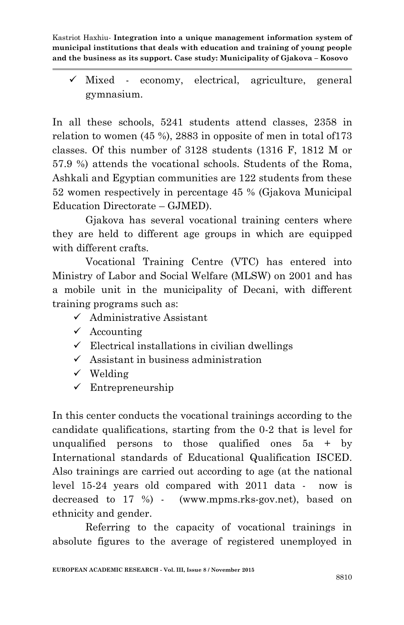$\checkmark$  Mixed - economy, electrical, agriculture, general gymnasium.

In all these schools, 5241 students attend classes, 2358 in relation to women (45 %), 2883 in opposite of men in total of173 classes. Of this number of 3128 students (1316 F, 1812 M or 57.9 %) attends the vocational schools. Students of the Roma, Ashkali and Egyptian communities are 122 students from these 52 women respectively in percentage 45 % (Gjakova Municipal Education Directorate – GJMED).

Gjakova has several vocational training centers where they are held to different age groups in which are equipped with different crafts.

Vocational Training Centre (VTC) has entered into Ministry of Labor and Social Welfare (MLSW) on 2001 and has a mobile unit in the municipality of Decani, with different training programs such as:

- $\checkmark$  Administrative Assistant
- $\checkmark$  Accounting
- $\checkmark$  Electrical installations in civilian dwellings
- $\checkmark$  Assistant in business administration
- $\checkmark$  Welding
- $\checkmark$  Entrepreneurship

In this center conducts the vocational trainings according to the candidate qualifications, starting from the 0-2 that is level for unqualified persons to those qualified ones  $5a + by$ International standards of Educational Qualification ISCED. Also trainings are carried out according to age (at the national level 15-24 years old compared with 2011 data - now is decreased to 17 %) - (www.mpms.rks-gov.net), based on ethnicity and gender.

Referring to the capacity of vocational trainings in absolute figures to the average of registered unemployed in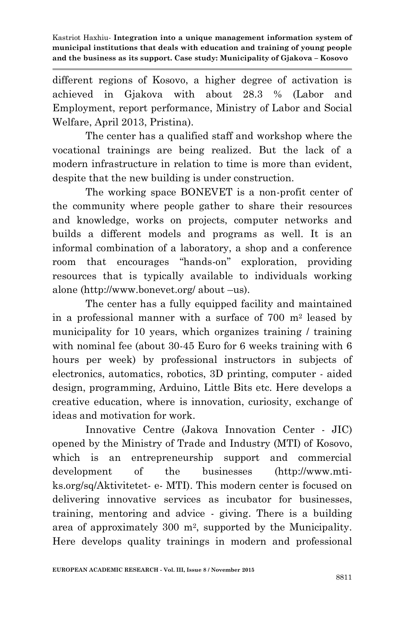different regions of Kosovo, a higher degree of activation is achieved in Gjakova with about 28.3 % (Labor and Employment, report performance, Ministry of Labor and Social Welfare, April 2013, Pristina).

The center has a qualified staff and workshop where the vocational trainings are being realized. But the lack of a modern infrastructure in relation to time is more than evident, despite that the new building is under construction.

The working space BONEVET is a non-profit center of the community where people gather to share their resources and knowledge, works on projects, computer networks and builds a different models and programs as well. It is an informal combination of a laboratory, a shop and a conference room that encourages "hands-on" exploration, providing resources that is typically available to individuals working alone (http://www.bonevet.org/ about –us).

The center has a fully equipped facility and maintained in a professional manner with a surface of 700 m<sup>2</sup> leased by municipality for 10 years, which organizes training / training with nominal fee (about 30-45 Euro for 6 weeks training with 6 hours per week) by professional instructors in subjects of electronics, automatics, robotics, 3D printing, computer - aided design, programming, Arduino, Little Bits etc. Here develops a creative education, where is innovation, curiosity, exchange of ideas and motivation for work.

Innovative Centre (Jakova Innovation Center - JIC) opened by the Ministry of Trade and Industry (MTI) of Kosovo, which is an entrepreneurship support and commercial development of the businesses (http://www.mtiks.org/sq/Aktivitetet- e- MTI). This modern center is focused on delivering innovative services as incubator for businesses, training, mentoring and advice - giving. There is a building area of approximately 300 m<sup>2</sup>, supported by the Municipality. Here develops quality trainings in modern and professional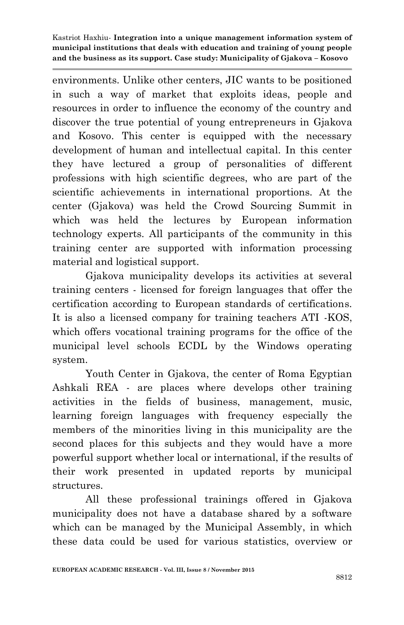environments. Unlike other centers, JIC wants to be positioned in such a way of market that exploits ideas, people and resources in order to influence the economy of the country and discover the true potential of young entrepreneurs in Gjakova and Kosovo. This center is equipped with the necessary development of human and intellectual capital. In this center they have lectured a group of personalities of different professions with high scientific degrees, who are part of the scientific achievements in international proportions. At the center (Gjakova) was held the Crowd Sourcing Summit in which was held the lectures by European information technology experts. All participants of the community in this training center are supported with information processing material and logistical support.

Gjakova municipality develops its activities at several training centers - licensed for foreign languages that offer the certification according to European standards of certifications. It is also a licensed company for training teachers ATI -KOS, which offers vocational training programs for the office of the municipal level schools ECDL by the Windows operating system.

Youth Center in Gjakova, the center of Roma Egyptian Ashkali REA - are places where develops other training activities in the fields of business, management, music, learning foreign languages with frequency especially the members of the minorities living in this municipality are the second places for this subjects and they would have a more powerful support whether local or international, if the results of their work presented in updated reports by municipal structures.

All these professional trainings offered in Gjakova municipality does not have a database shared by a software which can be managed by the Municipal Assembly, in which these data could be used for various statistics, overview or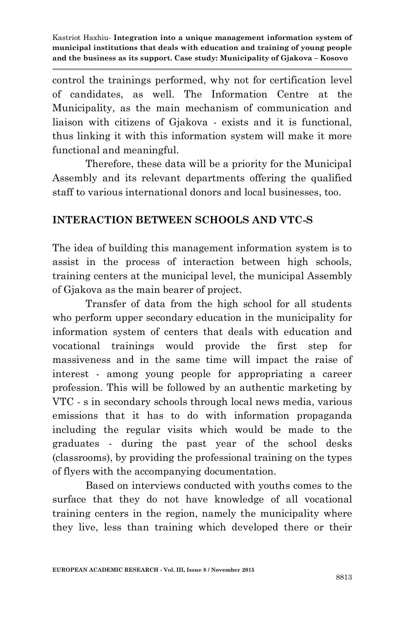control the trainings performed, why not for certification level of candidates, as well. The Information Centre at the Municipality, as the main mechanism of communication and liaison with citizens of Gjakova - exists and it is functional, thus linking it with this information system will make it more functional and meaningful.

Therefore, these data will be a priority for the Municipal Assembly and its relevant departments offering the qualified staff to various international donors and local businesses, too.

## **INTERACTION BETWEEN SCHOOLS AND VTC-S**

The idea of building this management information system is to assist in the process of interaction between high schools, training centers at the municipal level, the municipal Assembly of Gjakova as the main bearer of project.

Transfer of data from the high school for all students who perform upper secondary education in the municipality for information system of centers that deals with education and vocational trainings would provide the first step for massiveness and in the same time will impact the raise of interest - among young people for appropriating a career profession. This will be followed by an authentic marketing by VTC - s in secondary schools through local news media, various emissions that it has to do with information propaganda including the regular visits which would be made to the graduates - during the past year of the school desks (classrooms), by providing the professional training on the types of flyers with the accompanying documentation.

Based on interviews conducted with youths comes to the surface that they do not have knowledge of all vocational training centers in the region, namely the municipality where they live, less than training which developed there or their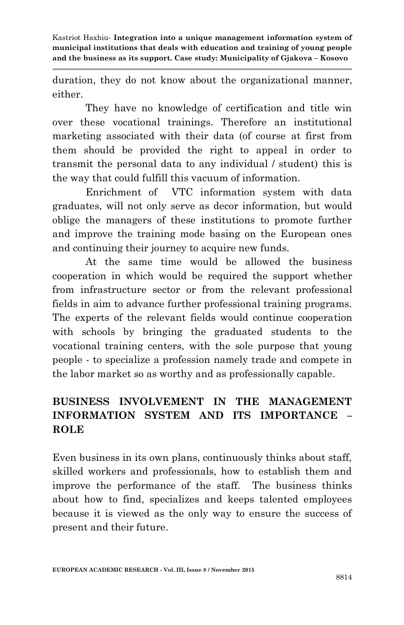duration, they do not know about the organizational manner, either.

They have no knowledge of certification and title win over these vocational trainings. Therefore an institutional marketing associated with their data (of course at first from them should be provided the right to appeal in order to transmit the personal data to any individual / student) this is the way that could fulfill this vacuum of information.

Enrichment of VTC information system with data graduates, will not only serve as decor information, but would oblige the managers of these institutions to promote further and improve the training mode basing on the European ones and continuing their journey to acquire new funds.

At the same time would be allowed the business cooperation in which would be required the support whether from infrastructure sector or from the relevant professional fields in aim to advance further professional training programs. The experts of the relevant fields would continue cooperation with schools by bringing the graduated students to the vocational training centers, with the sole purpose that young people - to specialize a profession namely trade and compete in the labor market so as worthy and as professionally capable.

# **BUSINESS INVOLVEMENT IN THE MANAGEMENT INFORMATION SYSTEM AND ITS IMPORTANCE – ROLE**

Even business in its own plans, continuously thinks about staff, skilled workers and professionals, how to establish them and improve the performance of the staff. The business thinks about how to find, specializes and keeps talented employees because it is viewed as the only way to ensure the success of present and their future.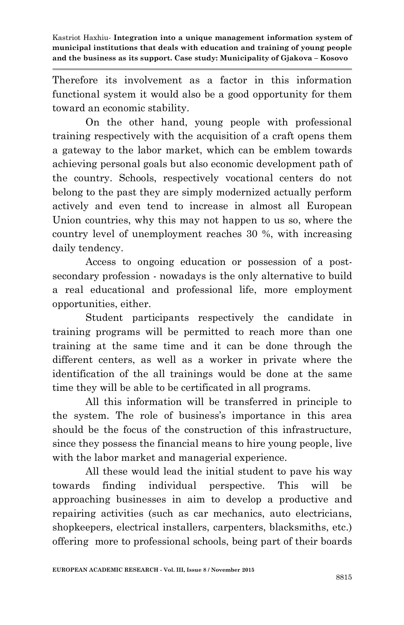Therefore its involvement as a factor in this information functional system it would also be a good opportunity for them toward an economic stability.

On the other hand, young people with professional training respectively with the acquisition of a craft opens them a gateway to the labor market, which can be emblem towards achieving personal goals but also economic development path of the country. Schools, respectively vocational centers do not belong to the past they are simply modernized actually perform actively and even tend to increase in almost all European Union countries, why this may not happen to us so, where the country level of unemployment reaches 30 %, with increasing daily tendency.

Access to ongoing education or possession of a postsecondary profession - nowadays is the only alternative to build a real educational and professional life, more employment opportunities, either.

Student participants respectively the candidate in training programs will be permitted to reach more than one training at the same time and it can be done through the different centers, as well as a worker in private where the identification of the all trainings would be done at the same time they will be able to be certificated in all programs.

All this information will be transferred in principle to the system. The role of business's importance in this area should be the focus of the construction of this infrastructure, since they possess the financial means to hire young people, live with the labor market and managerial experience.

All these would lead the initial student to pave his way towards finding individual perspective. This will be approaching businesses in aim to develop a productive and repairing activities (such as car mechanics, auto electricians, shopkeepers, electrical installers, carpenters, blacksmiths, etc.) offering more to professional schools, being part of their boards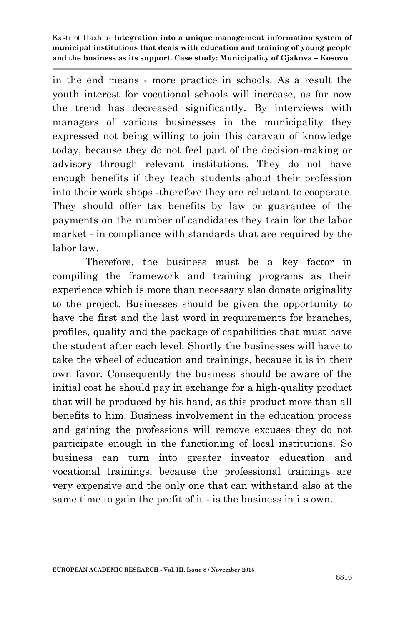in the end means - more practice in schools. As a result the youth interest for vocational schools will increase, as for now the trend has decreased significantly. By interviews with managers of various businesses in the municipality they expressed not being willing to join this caravan of knowledge today, because they do not feel part of the decision-making or advisory through relevant institutions. They do not have enough benefits if they teach students about their profession into their work shops -therefore they are reluctant to cooperate. They should offer tax benefits by law or guarantee of the payments on the number of candidates they train for the labor market - in compliance with standards that are required by the labor law.

Therefore, the business must be a key factor in compiling the framework and training programs as their experience which is more than necessary also donate originality to the project. Businesses should be given the opportunity to have the first and the last word in requirements for branches, profiles, quality and the package of capabilities that must have the student after each level. Shortly the businesses will have to take the wheel of education and trainings, because it is in their own favor. Consequently the business should be aware of the initial cost he should pay in exchange for a high-quality product that will be produced by his hand, as this product more than all benefits to him. Business involvement in the education process and gaining the professions will remove excuses they do not participate enough in the functioning of local institutions. So business can turn into greater investor education and vocational trainings, because the professional trainings are very expensive and the only one that can withstand also at the same time to gain the profit of it - is the business in its own.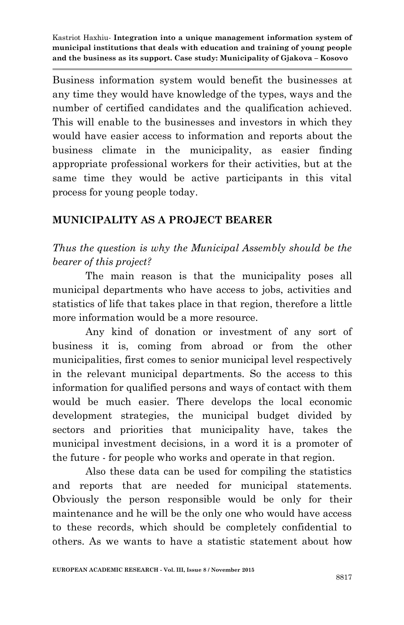Business information system would benefit the businesses at any time they would have knowledge of the types, ways and the number of certified candidates and the qualification achieved. This will enable to the businesses and investors in which they would have easier access to information and reports about the business climate in the municipality, as easier finding appropriate professional workers for their activities, but at the same time they would be active participants in this vital process for young people today.

### **MUNICIPALITY AS A PROJECT BEARER**

*Thus the question is why the Municipal Assembly should be the bearer of this project?*

The main reason is that the municipality poses all municipal departments who have access to jobs, activities and statistics of life that takes place in that region, therefore a little more information would be a more resource.

Any kind of donation or investment of any sort of business it is, coming from abroad or from the other municipalities, first comes to senior municipal level respectively in the relevant municipal departments. So the access to this information for qualified persons and ways of contact with them would be much easier. There develops the local economic development strategies, the municipal budget divided by sectors and priorities that municipality have, takes the municipal investment decisions, in a word it is a promoter of the future - for people who works and operate in that region.

Also these data can be used for compiling the statistics and reports that are needed for municipal statements. Obviously the person responsible would be only for their maintenance and he will be the only one who would have access to these records, which should be completely confidential to others. As we wants to have a statistic statement about how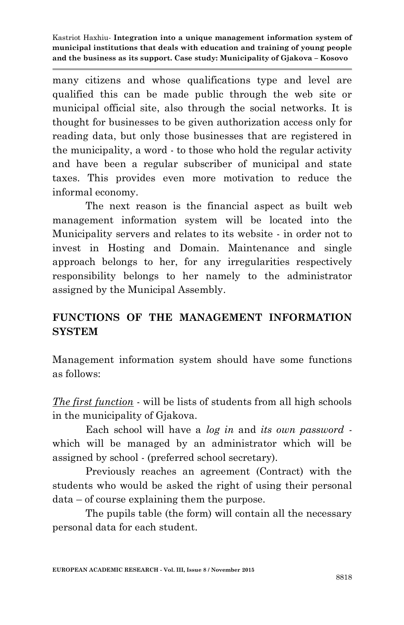many citizens and whose qualifications type and level are qualified this can be made public through the web site or municipal official site, also through the social networks. It is thought for businesses to be given authorization access only for reading data, but only those businesses that are registered in the municipality, a word - to those who hold the regular activity and have been a regular subscriber of municipal and state taxes. This provides even more motivation to reduce the informal economy.

The next reason is the financial aspect as built web management information system will be located into the Municipality servers and relates to its website - in order not to invest in Hosting and Domain. Maintenance and single approach belongs to her, for any irregularities respectively responsibility belongs to her namely to the administrator assigned by the Municipal Assembly.

## **FUNCTIONS OF THE MANAGEMENT INFORMATION SYSTEM**

Management information system should have some functions as follows:

*The first function* - will be lists of students from all high schools in the municipality of Gjakova.

Each school will have a *log in* and *its own password* which will be managed by an administrator which will be assigned by school - (preferred school secretary).

Previously reaches an agreement (Contract) with the students who would be asked the right of using their personal data – of course explaining them the purpose.

The pupils table (the form) will contain all the necessary personal data for each student.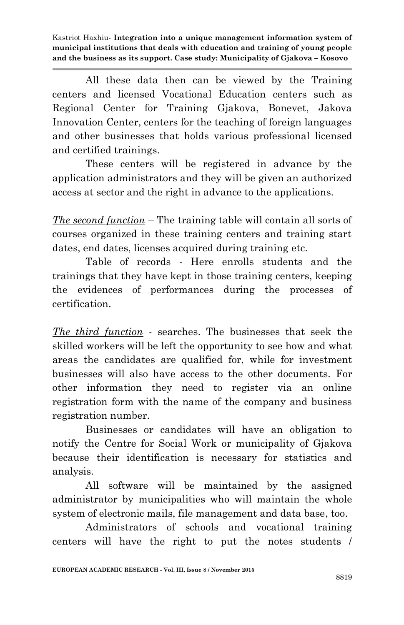All these data then can be viewed by the Training centers and licensed Vocational Education centers such as Regional Center for Training Gjakova, Bonevet, Jakova Innovation Center, centers for the teaching of foreign languages and other businesses that holds various professional licensed and certified trainings.

These centers will be registered in advance by the application administrators and they will be given an authorized access at sector and the right in advance to the applications.

*The second function* – The training table will contain all sorts of courses organized in these training centers and training start dates, end dates, licenses acquired during training etc.

Table of records - Here enrolls students and the trainings that they have kept in those training centers, keeping the evidences of performances during the processes of certification.

*The third function* - searches. The businesses that seek the skilled workers will be left the opportunity to see how and what areas the candidates are qualified for, while for investment businesses will also have access to the other documents. For other information they need to register via an online registration form with the name of the company and business registration number.

Businesses or candidates will have an obligation to notify the Centre for Social Work or municipality of Gjakova because their identification is necessary for statistics and analysis.

All software will be maintained by the assigned administrator by municipalities who will maintain the whole system of electronic mails, file management and data base, too.

Administrators of schools and vocational training centers will have the right to put the notes students /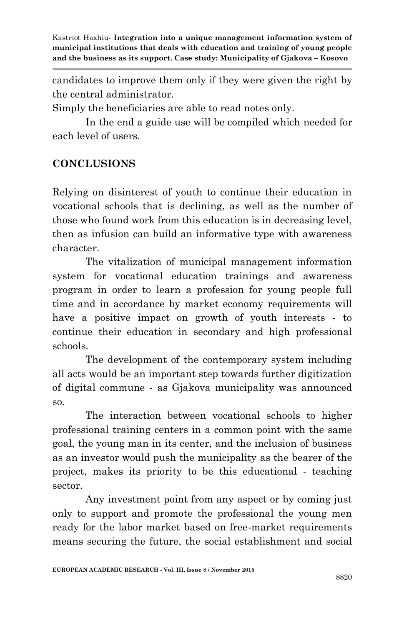candidates to improve them only if they were given the right by the central administrator.

Simply the beneficiaries are able to read notes only.

In the end a guide use will be compiled which needed for each level of users.

# **CONCLUSIONS**

Relying on disinterest of youth to continue their education in vocational schools that is declining, as well as the number of those who found work from this education is in decreasing level, then as infusion can build an informative type with awareness character.

The vitalization of municipal management information system for vocational education trainings and awareness program in order to learn a profession for young people full time and in accordance by market economy requirements will have a positive impact on growth of youth interests - to continue their education in secondary and high professional schools.

The development of the contemporary system including all acts would be an important step towards further digitization of digital commune - as Gjakova municipality was announced so.

The interaction between vocational schools to higher professional training centers in a common point with the same goal, the young man in its center, and the inclusion of business as an investor would push the municipality as the bearer of the project, makes its priority to be this educational - teaching sector.

Any investment point from any aspect or by coming just only to support and promote the professional the young men ready for the labor market based on free-market requirements means securing the future, the social establishment and social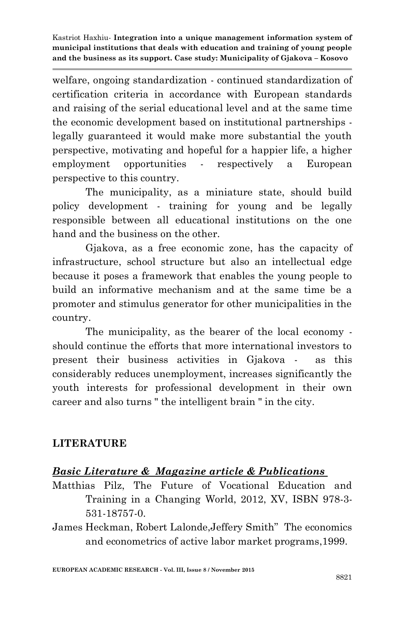welfare, ongoing standardization - continued standardization of certification criteria in accordance with European standards and raising of the serial educational level and at the same time the economic development based on institutional partnerships legally guaranteed it would make more substantial the youth perspective, motivating and hopeful for a happier life, a higher employment opportunities - respectively a European perspective to this country.

The municipality, as a miniature state, should build policy development - training for young and be legally responsible between all educational institutions on the one hand and the business on the other.

Gjakova, as a free economic zone, has the capacity of infrastructure, school structure but also an intellectual edge because it poses a framework that enables the young people to build an informative mechanism and at the same time be a promoter and stimulus generator for other municipalities in the country.

The municipality, as the bearer of the local economy should continue the efforts that more international investors to present their business activities in Gjakova - as this considerably reduces unemployment, increases significantly the youth interests for professional development in their own career and also turns " the intelligent brain " in the city.

## **LITERATURE**

### *Basic Literature & Magazine article & Publications*

- Matthias Pilz, The Future of Vocational Education and Training in a Changing World, 2012, XV, ISBN 978-3- 531-18757-0.
- James Heckman, Robert Lalonde,Jeffery Smith" The economics and econometrics of active labor market programs,1999.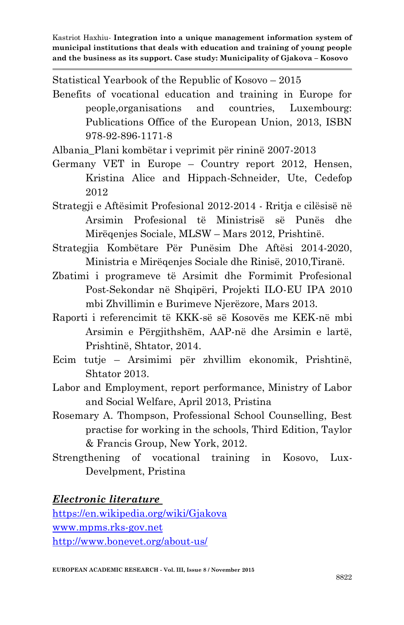Statistical Yearbook of the Republic of Kosovo – 2015

Benefits of vocational education and training in Europe for people,organisations and countries, Luxembourg: Publications Office of the European Union, 2013, ISBN 978-92-896-1171-8

Albania\_Plani kombëtar i veprimit për rininë 2007-2013

- Germany VET in Europe Country report 2012, Hensen, Kristina Alice and Hippach-Schneider, Ute, Cedefop 2012
- Strategji e Aftësimit Profesional 2012-2014 Rritja e cilësisë në Arsimin Profesional të Ministrisë së Punës dhe Mirëqenjes Sociale, MLSW – Mars 2012, Prishtinë.
- Strategjia Kombëtare Për Punësim Dhe Aftësi 2014-2020, Ministria e Mirëqenjes Sociale dhe Rinisë, 2010,Tiranë.
- Zbatimi i programeve të Arsimit dhe Formimit Profesional Post-Sekondar në Shqipëri, Projekti ILO-EU IPA 2010 mbi Zhvillimin e Burimeve Njerëzore, Mars 2013.
- Raporti i referencimit të KKK-së së Kosovës me KEK-në mbi Arsimin e Përgjithshëm, AAP-në dhe Arsimin e lartë, Prishtinë, Shtator, 2014.
- Ecim tutje Arsimimi për zhvillim ekonomik, Prishtinë, Shtator 2013.
- Labor and Employment, report performance, Ministry of Labor and Social Welfare, April 2013, Pristina
- Rosemary A. Thompson, Professional School Counselling, Best practise for working in the schools, Third Edition, Taylor & Francis Group, New York, 2012.
- Strengthening of vocational training in Kosovo, Lux-Develpment, Pristina

### *Electronic literature*

<https://en.wikipedia.org/wiki/Gjakova> [www.mpms.rks-gov.net](http://www.mpms.rks-gov.net/) <http://www.bonevet.org/about-us/>